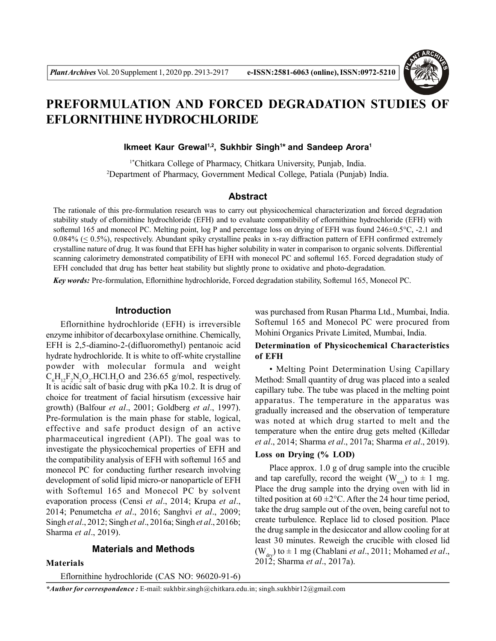

# **PREFORMULATION AND FORCED DEGRADATION STUDIES OF EFLORNITHINE HYDROCHLORIDE**

**Ikmeet Kaur Grewal1,2, Sukhbir Singh<sup>1</sup> \* and Sandeep Arora<sup>1</sup>**

1\*Chitkara College of Pharmacy, Chitkara University, Punjab, India. <sup>2</sup>Department of Pharmacy, Government Medical College, Patiala (Punjab) India.

#### **Abstract**

The rationale of this pre-formulation research was to carry out physicochemical characterization and forced degradation stability study of eflornithine hydrochloride (EFH) and to evaluate compatibility of eflornithine hydrochloride (EFH) with softemul 165 and monecol PC. Melting point, log P and percentage loss on drying of EFH was found 246±0.5°C, -2.1 and  $0.084\%$  ( $\leq 0.5\%$ ), respectively. Abundant spiky crystalline peaks in x-ray diffraction pattern of EFH confirmed extremely crystalline nature of drug. It was found that EFH has higher solubility in water in comparison to organic solvents. Differential scanning calorimetry demonstrated compatibility of EFH with monecol PC and softemul 165. Forced degradation study of EFH concluded that drug has better heat stability but slightly prone to oxidative and photo-degradation.

*Key words:* Pre-formulation, Eflornithine hydrochloride, Forced degradation stability, Softemul 165, Monecol PC.

#### **Introduction**

Eflornithine hydrochloride (EFH) is irreversible enzyme inhibitor of decarboxylase ornithine. Chemically, EFH is 2,5-diamino-2-(difluoromethyl) pentanoic acid hydrate hydrochloride. It is white to off-white crystalline powder with molecular formula and weight  $C_6H_{12}F_2N_2O_2$ .HCl.H<sub>2</sub>O and 236.65 g/mol, respectively. It is acidic salt of basic drug with pKa 10.2. It is drug of choice for treatment of facial hirsutism (excessive hair growth) (Balfour *et al*., 2001; Goldberg *et al*., 1997). Pre-formulation is the main phase for stable, logical, effective and safe product design of an active pharmaceutical ingredient (API). The goal was to investigate the physicochemical properties of EFH and the compatibility analysis of EFH with softemul 165 and monecol PC for conducting further research involving development of solid lipid micro-or nanoparticle of EFH with Softemul 165 and Monecol PC by solvent evaporation process (Censi *et al*., 2014; Krupa *et al*., 2014; Penumetcha *et al*., 2016; Sanghvi *et al*., 2009; Singh *et al*., 2012; Singh *et al*., 2016a; Singh *et al*., 2016b; Sharma *et al*., 2019).

#### **Materials and Methods**

#### **Materials**

Eflornithine hydrochloride (CAS NO: 96020-91-6)

was purchased from Rusan Pharma Ltd., Mumbai, India. Softemul 165 and Monecol PC were procured from Mohini Organics Private Limited, Mumbai, India.

## **Determination of Physicochemical Characteristics of EFH**

• Melting Point Determination Using Capillary Method: Small quantity of drug was placed into a sealed capillary tube. The tube was placed in the melting point apparatus. The temperature in the apparatus was gradually increased and the observation of temperature was noted at which drug started to melt and the temperature when the entire drug gets melted (Killedar *et al*., 2014; Sharma *et al*., 2017a; Sharma *et al*., 2019).

# **Loss on Drying (% LOD)**

Place approx. 1.0 g of drug sample into the crucible and tap carefully, record the weight (W<sub>wet</sub>) to  $\pm$  1 mg. Place the drug sample into the drying oven with lid in tilted position at  $60 \pm 2^{\circ}$ C. After the 24 hour time period, take the drug sample out of the oven, being careful not to create turbulence. Replace lid to closed position. Place the drug sample in the desiccator and allow cooling for at least 30 minutes. Reweigh the crucible with closed lid  $(W<sub>div</sub>)$  to  $\pm$  1 mg (Chablani *et al.*, 2011; Mohamed *et al.*, 2012; Sharma *et al*., 2017a).

*\*Author for correspondence :* E-mail: sukhbir.singh@chitkara.edu.in; singh.sukhbir12@gmail.com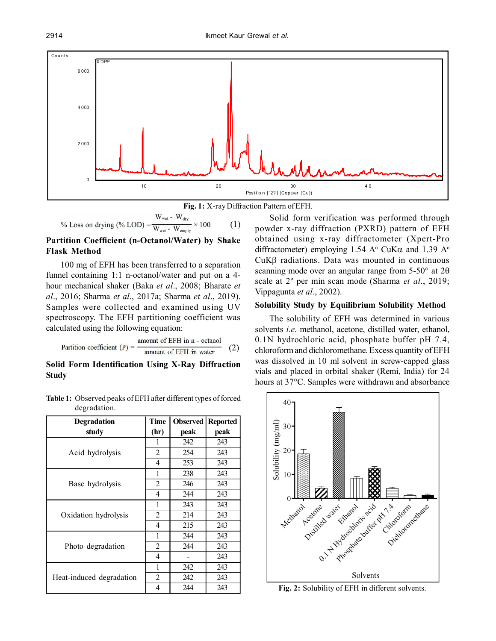2914 Ikmeet Kaur Grewal *et al.*





% Loss on drying (%) 
$$
LOD = \frac{W_{wet} - W_{dry}}{W_{wet} - W_{empty}} \times 100
$$
 (1)

# **Partition Coefficient (n-Octanol/Water) by Shake Flask Method**

100 mg of EFH has been transferred to a separation funnel containing 1:1 n-octanol/water and put on a 4 hour mechanical shaker (Baka *et al*., 2008; Bharate *et al*., 2016; Sharma *et al*., 2017a; Sharma *et al*., 2019). Samples were collected and examined using UV spectroscopy. The EFH partitioning coefficient was calculated using the following equation:

Partition coefficient (P) = 
$$
\frac{\text{amount of EFH in n - octanol}}{\text{amount of EFH in water}}
$$
 (2)

# **Solid Form Identification Using X-Ray Diffraction Study**

| <b>Table 1:</b> Observed peaks of EFH after different types of forced |  |
|-----------------------------------------------------------------------|--|
| degradation.                                                          |  |

| <b>Degradation</b>       | <b>Time</b>    | Observed | <b>Reported</b> |
|--------------------------|----------------|----------|-----------------|
| study                    | (hr)           | peak     | peak            |
|                          |                | 242      | 243             |
| Acid hydrolysis          | $\overline{2}$ | 254      | 243             |
|                          | 4              | 253      | 243             |
|                          | 1              | 238      | 243             |
| Base hydrolysis          | $\overline{2}$ | 246      | 243             |
|                          | 4              | 244      | 243             |
|                          | 1              | 243      | 243             |
| Oxidation hydrolysis     | 2              | 214      | 243             |
|                          | 4              | 215      | 243             |
|                          | 1              | 244      | 243             |
| Photo degradation        | $\overline{2}$ | 244      | 243             |
|                          | 4              |          | 243             |
|                          | 1              | 242      | 243             |
| Heat-induced degradation | $\overline{2}$ | 242      | 243             |
|                          | 4              | 244      | 243             |

Solid form verification was performed through powder x-ray diffraction (PXRD) pattern of EFH obtained using x-ray diffractometer (Xpert-Pro diffractometer) employing 1.54 A<sup>o</sup> CuK $\alpha$  and 1.39 A<sup>o</sup>  $CuK\beta$  radiations. Data was mounted in continuous scanning mode over an angular range from  $5-50^{\circ}$  at  $2\theta$ scale at 2º per min scan mode (Sharma *et al*., 2019; Vippagunta *et al*., 2002).

#### **Solubility Study by Equilibrium Solubility Method**

The solubility of EFH was determined in various solvents *i.e.* methanol, acetone, distilled water, ethanol, 0.1N hydrochloric acid, phosphate buffer pH 7.4, chloroform and dichloromethane. Excess quantity of EFH was dissolved in 10 ml solvent in screw-capped glass vials and placed in orbital shaker (Remi, India) for 24 hours at 37°C. Samples were withdrawn and absorbance



Fig. 2: Solubility of EFH in different solvents.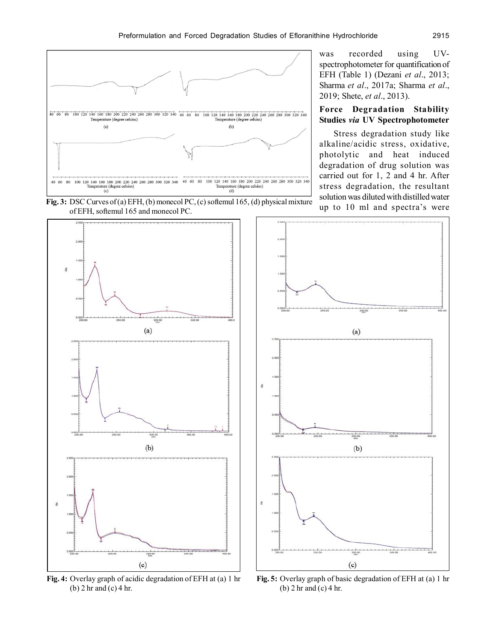

was recorded using UVspectrophotometer for quantification of EFH (Table 1) (Dezani *et al*., 2013; Sharma *et al*., 2017a; Sharma *et al*., 2019; Shete, *et al*., 2013).

# **Force Degradation Stability Studies** *via* **UV Spectrophotometer**

Stress degradation study like alkaline/acidic stress, oxidative, photolytic and heat induced degradation of drug solution was carried out for 1, 2 and 4 hr. After stress degradation, the resultant solution was diluted with distilled water up to 10 ml and spectra's were

**Fig. 3:** DSC Curves of (a) EFH, (b) monecol PC, (c) softemul 165, (d) physical mixture of EFH, softemul 165 and monecol PC.



**Fig. 4:** Overlay graph of acidic degradation of EFH at (a) 1 hr (b) 2 hr and (c) 4 hr.



**Fig. 5:** Overlay graph of basic degradation of EFH at (a) 1 hr (b) 2 hr and (c) 4 hr.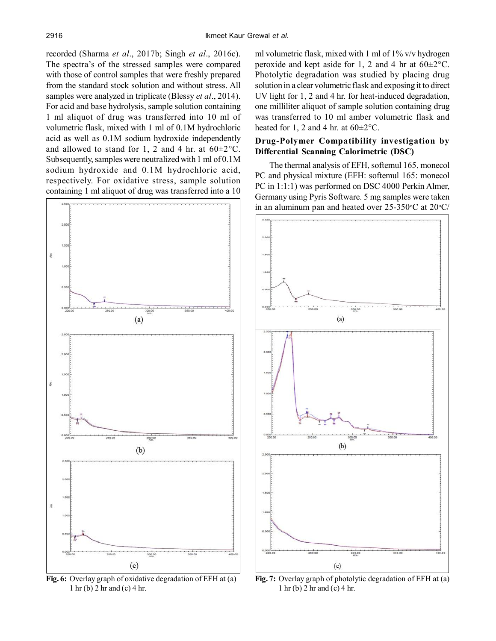recorded (Sharma *et al*., 2017b; Singh *et al*., 2016c). The spectra's of the stressed samples were compared with those of control samples that were freshly prepared from the standard stock solution and without stress. All samples were analyzed in triplicate (Blessy *et al*., 2014). For acid and base hydrolysis, sample solution containing 1 ml aliquot of drug was transferred into 10 ml of volumetric flask, mixed with 1 ml of 0.1M hydrochloric acid as well as 0.1M sodium hydroxide independently and allowed to stand for 1, 2 and 4 hr. at  $60 \pm 2^{\circ}$ C. Subsequently, samples were neutralized with 1 ml of 0.1M sodium hydroxide and 0.1M hydrochloric acid, respectively. For oxidative stress, sample solution containing 1 ml aliquot of drug was transferred into a 10



1 hr (b) 2 hr and (c) 4 hr.

ml volumetric flask, mixed with 1 ml of 1% v/v hydrogen peroxide and kept aside for 1, 2 and 4 hr at  $60 \pm 2^{\circ}$ C. Photolytic degradation was studied by placing drug solution in a clear volumetric flask and exposing it to direct UV light for 1, 2 and 4 hr. for heat-induced degradation, one milliliter aliquot of sample solution containing drug was transferred to 10 ml amber volumetric flask and heated for 1, 2 and 4 hr, at  $60 \pm 2^{\circ}$ C.

# **Drug-Polymer Compatibility investigation by Differential Scanning Calorimetric (DSC)**

The thermal analysis of EFH, softemul 165, monecol PC and physical mixture (EFH: softemul 165: monecol PC in 1:1:1) was performed on DSC 4000 Perkin Almer, Germany using Pyris Software. 5 mg samples were taken in an aluminum pan and heated over  $25{\text -}350^{\circ}\text{C}$  at  $20^{\circ}\text{C}$ /



**Fig. 7:** Overlay graph of photolytic degradation of EFH at (a) 1 hr (b) 2 hr and (c) 4 hr.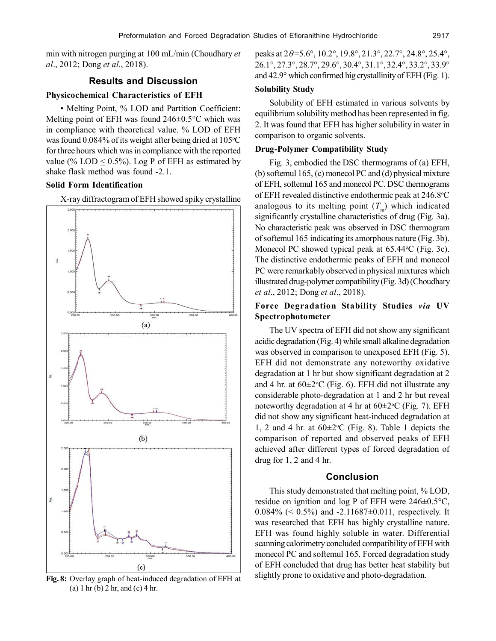min with nitrogen purging at 100 mL/min (Choudhary *et al*., 2012; Dong *et al*., 2018).

## **Results and Discussion**

#### **Physicochemical Characteristics of EFH**

• Melting Point, % LOD and Partition Coefficient: Melting point of EFH was found 246±0.5°C which was in compliance with theoretical value. % LOD of EFH was found  $0.084\%$  of its weight after being dried at  $105\textdegree C$ for three hours which was in compliance with the reported value (%  $LOD < 0.5$ %). Log P of EFH as estimated by shake flask method was found -2.1.

## **Solid Form Identification**

X-ray diffractogram of EFH showed spiky crystalline



**Fig. 8:** Overlay graph of heat-induced degradation of EFH at (a) 1 hr (b) 2 hr, and (c) 4 hr.

peaks at  $2\theta = 5.6^\circ$ ,  $10.2^\circ$ ,  $19.8^\circ$ ,  $21.3^\circ$ ,  $22.7^\circ$ ,  $24.8^\circ$ ,  $25.4^\circ$ , 26.1°, 27.3°, 28.7°, 29.6°, 30.4°, 31.1°, 32.4°, 33.2°, 33.9° and 42.9° which confirmed hig crystallinity of EFH (Fig. 1).

# **Solubility Study**

Solubility of EFH estimated in various solvents by equilibrium solubility method has been represented in fig. 2. It was found that EFH has higher solubility in water in comparison to organic solvents.

#### **Drug-Polymer Compatibility Study**

Fig. 3, embodied the DSC thermograms of (a) EFH, (b) softemul 165, (c) monecol PC and (d) physical mixture of EFH, softemul 165 and monecol PC. DSC thermograms of EFH revealed distinctive endothermic peak at 246.8<sup>o</sup>C analogous to its melting point  $(T<sub>m</sub>)$  which indicated significantly crystalline characteristics of drug (Fig. 3a). No characteristic peak was observed in DSC thermogram of softemul 165 indicating its amorphous nature (Fig. 3b). Monecol PC showed typical peak at  $65.44$ °C (Fig. 3c). The distinctive endothermic peaks of EFH and monecol PC were remarkably observed in physical mixtures which illustrated drug-polymer compatibility (Fig. 3d) (Choudhary *et al*., 2012; Dong *et al*., 2018).

# **Force Degradation Stability Studies** *via* **UV Spectrophotometer**

The UV spectra of EFH did not show any significant acidic degradation (Fig. 4) while small alkaline degradation was observed in comparison to unexposed EFH (Fig. 5). EFH did not demonstrate any noteworthy oxidative degradation at 1 hr but show significant degradation at 2 and 4 hr. at  $60 \pm 2$ <sup>o</sup>C (Fig. 6). EFH did not illustrate any considerable photo-degradation at 1 and 2 hr but reveal noteworthy degradation at 4 hr at  $60\pm2\degree C$  (Fig. 7). EFH did not show any significant heat-induced degradation at 1, 2 and 4 hr. at  $60 \pm 2$ °C (Fig. 8). Table 1 depicts the comparison of reported and observed peaks of EFH achieved after different types of forced degradation of drug for 1, 2 and 4 hr.

#### **Conclusion**

This study demonstrated that melting point, % LOD, residue on ignition and log P of EFH were 246±0.5°C, 0.084% ( $\leq$  0.5%) and -2.11687±0.011, respectively. It was researched that EFH has highly crystalline nature. EFH was found highly soluble in water. Differential scanning calorimetry concluded compatibility of EFH with monecol PC and softemul 165. Forced degradation study of EFH concluded that drug has better heat stability but slightly prone to oxidative and photo-degradation.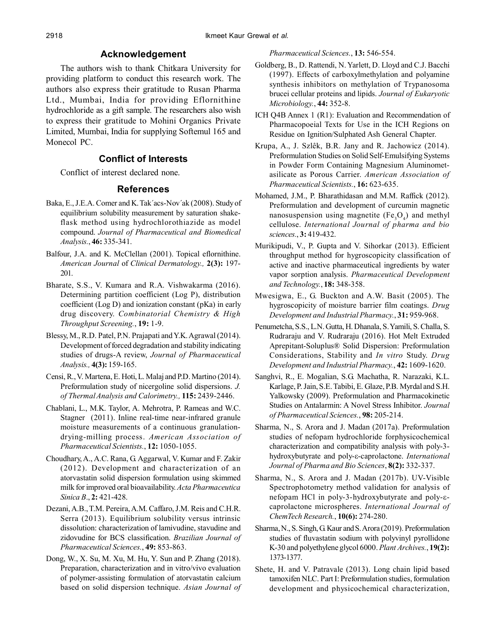# **Acknowledgement**

The authors wish to thank Chitkara University for providing platform to conduct this research work. The authors also express their gratitude to Rusan Pharma Ltd., Mumbai, India for providing Eflornithine hydrochloride as a gift sample. The researchers also wish to express their gratitude to Mohini Organics Private Limited, Mumbai, India for supplying Softemul 165 and Monecol PC.

# **Conflict of Interests**

Conflict of interest declared none.

## **References**

- Baka, E., J.E.A. Comer and K. Tak´acs-Nov´ak (2008). Study of equilibrium solubility measurement by saturation shakeflask method using hydrochlorothiazide as model compound. *Journal of Pharmaceutical and Biomedical Analysis.*, **46:** 335-341.
- Balfour, J.A. and K. McClellan (2001). Topical eflornithine. *American Journal* of *Clinical Dermatology.,* **2(3):** 197- 201.
- Bharate, S.S., V. Kumara and R.A. Vishwakarma (2016). Determining partition coefficient (Log P), distribution coefficient (Log D) and ionization constant (pKa) in early drug discovery. *Combinatorial Chemistry & High Throughput Screening.*, **19:** 1-9.
- Blessy, M., R.D. Patel, P.N. Prajapati and Y.K. Agrawal (2014). Development of forced degradation and stability indicating studies of drugs-A review, *Journal of Pharmaceutical Analysis.,* **4(3):** 159-165.
- Censi, R., V. Martena, E. Hoti, L. Malaj and P.D. Martino (2014). Preformulation study of nicergoline solid dispersions. *J. of Thermal Analysis and Calorimetry.,* **115:** 2439-2446.
- Chablani, L., M.K. Taylor, A. Mehrotra, P. Rameas and W.C. Stagner (2011). Inline real-time near-infrared granule moisture measurements of a continuous granulationdrying-milling process. *American Association of Pharmaceutical Scientists.*, **12:** 1050-1055.
- Choudhary, A., A.C. Rana, G. Aggarwal, V. Kumar and F. Zakir (2012). Development and characterization of an atorvastatin solid dispersion formulation using skimmed milk for improved oral bioavailability. *Acta Pharmaceutica Sinica B*., **2:** 421-428.
- Dezani, A.B., T.M. Pereira, A.M. Caffaro, J.M. Reis and C.H.R. Serra (2013). Equilibrium solubility versus intrinsic dissolution: characterization of lamivudine, stavudine and zidovudine for BCS classification. *Brazilian Journal of Pharmaceutical Sciences.*, **49:** 853-863.
- Dong, W., X. Su, M. Xu, M. Hu, Y. Sun and P. Zhang (2018). Preparation, characterization and in vitro/vivo evaluation of polymer-assisting formulation of atorvastatin calcium based on solid dispersion technique. *Asian Journal of*

*Pharmaceutical Sciences.*, **13:** 546-554.

- Goldberg, B., D. Rattendi, N. Yarlett, D. Lloyd and C.J. Bacchi (1997). Effects of carboxylmethylation and polyamine synthesis inhibitors on methylation of Trypanosoma brucei cellular proteins and lipids. *Journal of Eukaryotic Microbiology.*, **44:** 352-8.
- ICH Q4B Annex 1 (R1): Evaluation and Recommendation of Pharmacopoeial Texts for Use in the ICH Regions on Residue on Ignition/Sulphated Ash General Chapter.
- Krupa, A., J. Szlêk, B.R. Jany and R. Jachowicz (2014). Preformulation Studies on Solid Self-Emulsifying Systems in Powder Form Containing Magnesium Aluminometasilicate as Porous Carrier. *American Association of Pharmaceutical Scientists.*, **16:** 623-635.
- Mohamed, J.M., P. Bharathidasan and M.M. Raffick (2012). Preformulation and development of curcumin magnetic nanosuspension using magnetite  $(Fe<sub>3</sub>O<sub>4</sub>)$  and methyl cellulose. *International Journal of pharma and bio sciences.*, **3:** 419-432.
- Murikipudi, V., P. Gupta and V. Sihorkar (2013). Efficient throughput method for hygroscopicity classification of active and inactive pharmaceutical ingredients by water vapor sorption analysis. *Pharmaceutical Development and Technology.*, **18:** 348-358.
- Mwesigwa, E., G. Buckton and A.W. Basit (2005). The hygroscopicity of moisture barrier film coatings. *Drug Development and Industrial Pharmacy.*, **31:** 959-968.
- Penumetcha, S.S., L.N. Gutta, H. Dhanala, S. Yamili, S. Challa, S. Rudraraju and V. Rudraraju (2016). Hot Melt Extruded Aprepitant-Soluplus® Solid Dispersion: Preformulation Considerations, Stability and *In vitro* Study. *Drug Development and Industrial Pharmacy.*, **42:** 1609-1620.
- Sanghvi, R., E. Mogalian, S.G. Machatha, R. Narazaki, K.L. Karlage, P. Jain, S.E. Tabibi, E. Glaze, P.B. Myrdal and S.H. Yalkowsky (2009). Preformulation and Pharmacokinetic Studies on Antalarmin: A Novel Stress Inhibitor. *Journal of Pharmaceutical Sciences.*, **98:** 205-214.
- Sharma, N., S. Arora and J. Madan (2017a). Preformulation studies of nefopam hydrochloride forphysicochemical characterization and compatibility analysis with poly-3 hydroxybutyrate and poly- $\varepsilon$ -caprolactone. *International Journal of Pharma and Bio Sciences*, **8(2):** 332-337.
- Sharma, N., S. Arora and J. Madan (2017b). UV-Visible Spectrophotometry method validation for analysis of nefopam HCl in poly-3-hydroxybutyrate and poly- $\varepsilon$ caprolactone microspheres. *International Journal of ChemTech Research.*, **10(6):** 274-280.
- Sharma, N., S. Singh, G. Kaur and S. Arora (2019). Preformulation studies of fluvastatin sodium with polyvinyl pyrollidone K-30 and polyethylene glycol 6000. *Plant Archives.*, **19(2):** 1373-1377.
- Shete, H. and V. Patravale (2013). Long chain lipid based tamoxifen NLC. Part I: Preformulation studies, formulation development and physicochemical characterization,